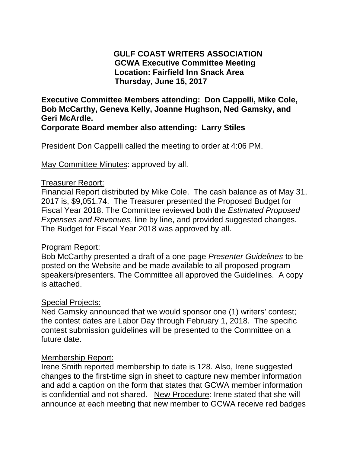# **GULF COAST WRITERS ASSOCIATION GCWA Executive Committee Meeting Location: Fairfield Inn Snack Area Thursday, June 15, 2017**

**Executive Committee Members attending: Don Cappelli, Mike Cole, Bob McCarthy, Geneva Kelly, Joanne Hughson, Ned Gamsky, and Geri McArdle.** 

**Corporate Board member also attending: Larry Stiles** 

President Don Cappelli called the meeting to order at 4:06 PM.

May Committee Minutes: approved by all.

## Treasurer Report:

Financial Report distributed by Mike Cole. The cash balance as of May 31, 2017 is, \$9,051.74. The Treasurer presented the Proposed Budget for Fiscal Year 2018. The Committee reviewed both the *Estimated Proposed Expenses and Revenues,* line by line, and provided suggested changes. The Budget for Fiscal Year 2018 was approved by all.

## Program Report:

Bob McCarthy presented a draft of a one-page *Presenter Guidelines* to be posted on the Website and be made available to all proposed program speakers/presenters. The Committee all approved the Guidelines. A copy is attached.

## Special Projects:

Ned Gamsky announced that we would sponsor one (1) writers' contest; the contest dates are Labor Day through February 1, 2018. The specific contest submission guidelines will be presented to the Committee on a future date.

## Membership Report:

Irene Smith reported membership to date is 128. Also, Irene suggested changes to the first-time sign in sheet to capture new member information and add a caption on the form that states that GCWA member information is confidential and not shared. New Procedure: Irene stated that she will announce at each meeting that new member to GCWA receive red badges